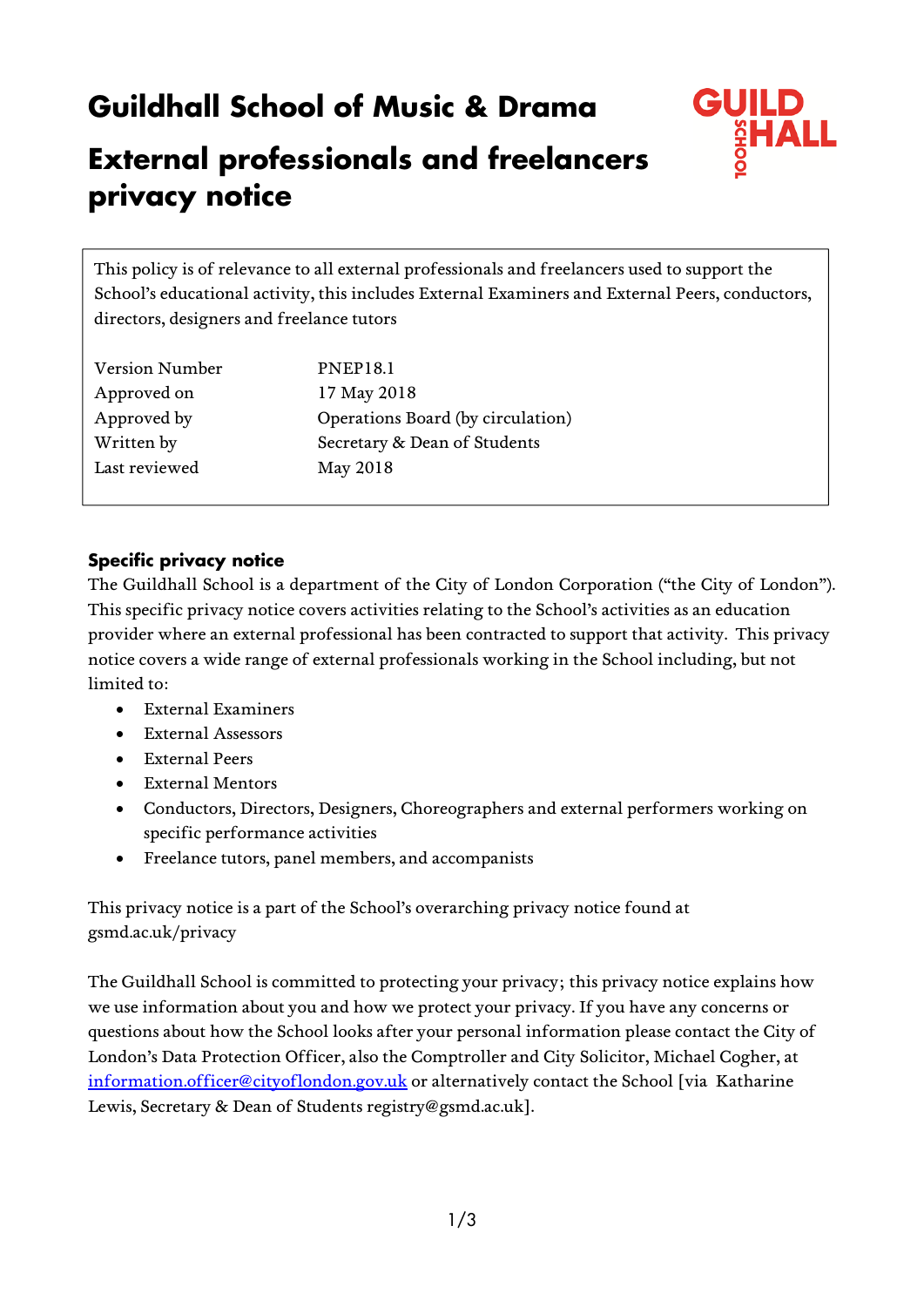# **Guildhall School of Music & Drama**



# **External professionals and freelancers privacy notice**

This policy is of relevance to all external professionals and freelancers used to support the School's educational activity, this includes External Examiners and External Peers, conductors, directors, designers and freelance tutors

| Version Number | <b>PNEP18.1</b>                   |
|----------------|-----------------------------------|
| Approved on    | 17 May 2018                       |
| Approved by    | Operations Board (by circulation) |
| Written by     | Secretary & Dean of Students      |
| Last reviewed  | May 2018                          |

# **Specific privacy notice**

The Guildhall School is a department of the City of London Corporation ("the City of London"). This specific privacy notice covers activities relating to the School's activities as an education provider where an external professional has been contracted to support that activity. This privacy notice covers a wide range of external professionals working in the School including, but not limited to:

- External Examiners
- External Assessors
- External Peers
- External Mentors
- Conductors, Directors, Designers, Choreographers and external performers working on specific performance activities
- Freelance tutors, panel members, and accompanists

This privacy notice is a part of the School's overarching privacy notice found at gsmd.ac.uk/privacy

The Guildhall School is committed to protecting your privacy; this privacy notice explains how we use information about you and how we protect your privacy. If you have any concerns or questions about how the School looks after your personal information please contact the City of London's Data Protection Officer, also the Comptroller and City Solicitor, Michael Cogher, at information.officer@cityoflondon.gov.uk or alternatively contact the School [via Katharine Lewis, Secretary & Dean of Students registry@gsmd.ac.uk].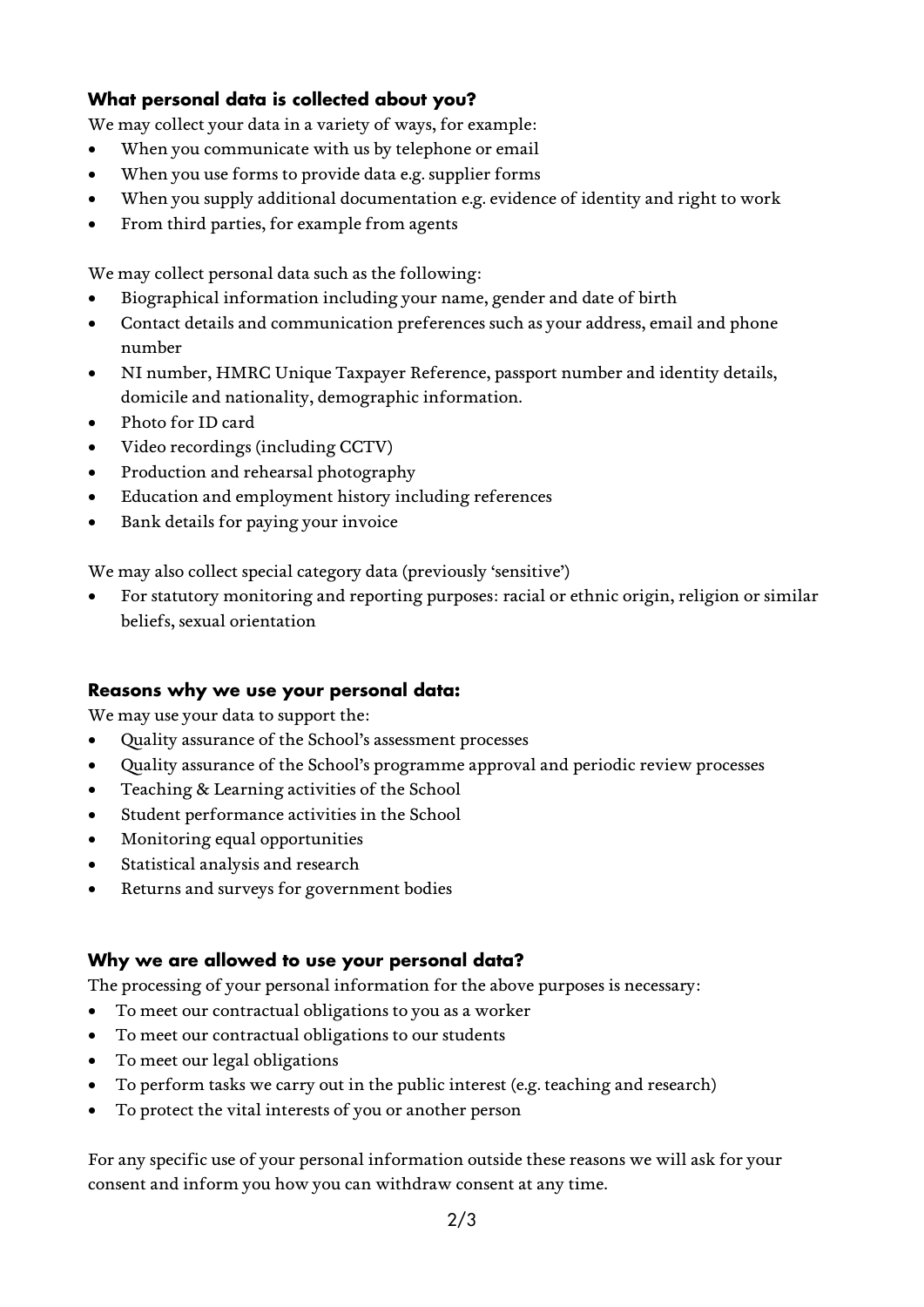# **What personal data is collected about you?**

We may collect your data in a variety of ways, for example:

- When you communicate with us by telephone or email
- When you use forms to provide data e.g. supplier forms
- When you supply additional documentation e.g. evidence of identity and right to work
- From third parties, for example from agents

We may collect personal data such as the following:

- Biographical information including your name, gender and date of birth
- Contact details and communication preferences such as your address, email and phone number
- NI number, HMRC Unique Taxpayer Reference, passport number and identity details, domicile and nationality, demographic information.
- Photo for ID card
- Video recordings (including CCTV)
- Production and rehearsal photography
- Education and employment history including references
- Bank details for paying your invoice

We may also collect special category data (previously 'sensitive')

 For statutory monitoring and reporting purposes: racial or ethnic origin, religion or similar beliefs, sexual orientation

#### **Reasons why we use your personal data:**

We may use your data to support the:

- Quality assurance of the School's assessment processes
- Quality assurance of the School's programme approval and periodic review processes
- Teaching & Learning activities of the School
- Student performance activities in the School
- Monitoring equal opportunities
- Statistical analysis and research
- Returns and surveys for government bodies

#### **Why we are allowed to use your personal data?**

The processing of your personal information for the above purposes is necessary:

- To meet our contractual obligations to you as a worker
- To meet our contractual obligations to our students
- To meet our legal obligations
- To perform tasks we carry out in the public interest (e.g. teaching and research)
- To protect the vital interests of you or another person

For any specific use of your personal information outside these reasons we will ask for your consent and inform you how you can withdraw consent at any time.